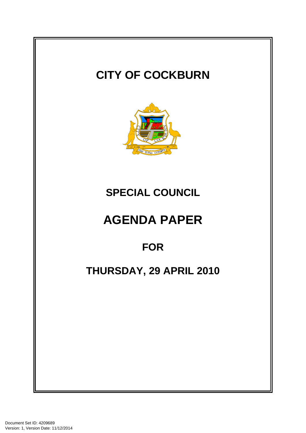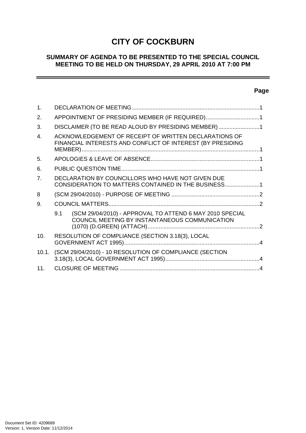# **CITY OF COCKBURN**

# **SUMMARY OF AGENDA TO BE PRESENTED TO THE SPECIAL COUNCIL MEETING TO BE HELD ON THURSDAY, 29 APRIL 2010 AT 7:00 PM**

# **Page**

÷

| $\mathbf 1$ .  |                                                                                                                     |                                                                                                            |  |
|----------------|---------------------------------------------------------------------------------------------------------------------|------------------------------------------------------------------------------------------------------------|--|
| 2.             | APPOINTMENT OF PRESIDING MEMBER (IF REQUIRED)1                                                                      |                                                                                                            |  |
| 3.             | DISCLAIMER (TO BE READ ALOUD BY PRESIDING MEMBER)1                                                                  |                                                                                                            |  |
| $\overline{4}$ | ACKNOWLEDGEMENT OF RECEIPT OF WRITTEN DECLARATIONS OF<br>FINANCIAL INTERESTS AND CONFLICT OF INTEREST (BY PRESIDING |                                                                                                            |  |
| 5.             |                                                                                                                     |                                                                                                            |  |
| 6.             |                                                                                                                     |                                                                                                            |  |
| 7 <sup>1</sup> | DECLARATION BY COUNCILLORS WHO HAVE NOT GIVEN DUE<br>CONSIDERATION TO MATTERS CONTAINED IN THE BUSINESS1            |                                                                                                            |  |
| 8              |                                                                                                                     |                                                                                                            |  |
| 9.             |                                                                                                                     |                                                                                                            |  |
|                | 9.1                                                                                                                 | (SCM 29/04/2010) - APPROVAL TO ATTEND 6 MAY 2010 SPECIAL<br>COUNCIL MEETING BY INSTANTANEOUS COMMUNICATION |  |
| 10.            | RESOLUTION OF COMPLIANCE (SECTION 3.18(3), LOCAL                                                                    |                                                                                                            |  |
|                | 10.1. (SCM 29/04/2010) - 10 RESOLUTION OF COMPLIANCE (SECTION                                                       |                                                                                                            |  |
| 11.            |                                                                                                                     |                                                                                                            |  |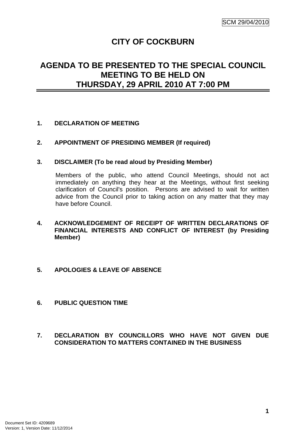# **CITY OF COCKBURN**

# <span id="page-2-0"></span>**AGENDA TO BE PRESENTED TO THE SPECIAL COUNCIL MEETING TO BE HELD ON THURSDAY, 29 APRIL 2010 AT 7:00 PM**

## **1. DECLARATION OF MEETING**

## **2. APPOINTMENT OF PRESIDING MEMBER (If required)**

## **3. DISCLAIMER (To be read aloud by Presiding Member)**

Members of the public, who attend Council Meetings, should not act immediately on anything they hear at the Meetings, without first seeking clarification of Council's position. Persons are advised to wait for written advice from the Council prior to taking action on any matter that they may have before Council.

- **4. ACKNOWLEDGEMENT OF RECEIPT OF WRITTEN DECLARATIONS OF FINANCIAL INTERESTS AND CONFLICT OF INTEREST (by Presiding Member)**
- **5. APOLOGIES & LEAVE OF ABSENCE**
- **6. PUBLIC QUESTION TIME**

## **7. DECLARATION BY COUNCILLORS WHO HAVE NOT GIVEN DUE CONSIDERATION TO MATTERS CONTAINED IN THE BUSINESS**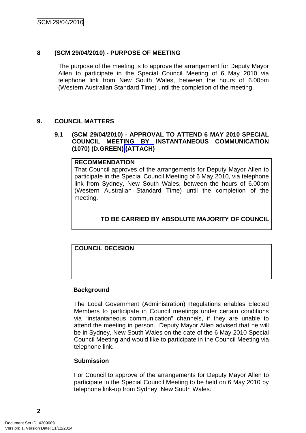## <span id="page-3-0"></span>**8 (SCM 29/04/2010) - PURPOSE OF MEETING**

The purpose of the meeting is to approve the arrangement for Deputy Mayor Allen to participate in the Special Council Meeting of 6 May 2010 via telephone link from New South Wales, between the hours of 6.00pm (Western Australian Standard Time) until the completion of the meeting.

## **9. COUNCIL MATTERS**

## **9.1 (SCM 29/04/2010) - APPROVAL TO ATTEND 6 MAY 2010 SPECIAL COUNCIL MEETING BY INSTANTANEOUS COMMUNICATION (1070) (D.GREEN) (ATTACH)**

### **RECOMMENDATION**

That Council approves of the arrangements for Deputy Mayor Allen to participate in the Special Council Meeting of 6 May 2010, via telephone link from Sydney, New South Wales, between the hours of 6.00pm (Western Australian Standard Time) until the completion of the meeting.

# **TO BE CARRIED BY ABSOLUTE MAJORITY OF COUNCIL**

# **COUNCIL DECISION**

## **Background**

The Local Government (Administration) Regulations enables Elected Members to participate in Council meetings under certain conditions via "instantaneous communication" channels, if they are unable to attend the meeting in person. Deputy Mayor Allen advised that he will be in Sydney, New South Wales on the date of the 6 May 2010 Special Council Meeting and would like to participate in the Council Meeting via telephone link.

## **Submission**

For Council to approve of the arrangements for Deputy Mayor Allen to participate in the Special Council Meeting to be held on 6 May 2010 by telephone link-up from Sydney, New South Wales.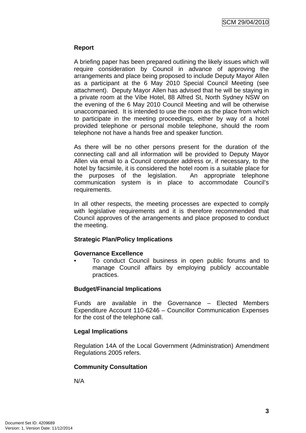## **Report**

A briefing paper has been prepared outlining the likely issues which will require consideration by Council in advance of approving the arrangements and place being proposed to include Deputy Mayor Allen as a participant at the 6 May 2010 Special Council Meeting (see attachment). Deputy Mayor Allen has advised that he will be staying in a private room at the Vibe Hotel, 88 Alfred St, North Sydney NSW on the evening of the 6 May 2010 Council Meeting and will be otherwise unaccompanied. It is intended to use the room as the place from which to participate in the meeting proceedings, either by way of a hotel provided telephone or personal mobile telephone, should the room telephone not have a hands free and speaker function.

As there will be no other persons present for the duration of the connecting call and all information will be provided to Deputy Mayor Allen via email to a Council computer address or, if necessary, to the hotel by facsimile, it is considered the hotel room is a suitable place for the purposes of the legislation. An appropriate telephone communication system is in place to accommodate Council's requirements.

In all other respects, the meeting processes are expected to comply with legislative requirements and it is therefore recommended that Council approves of the arrangements and place proposed to conduct the meeting.

## **Strategic Plan/Policy Implications**

## **Governance Excellence**

• To conduct Council business in open public forums and to manage Council affairs by employing publicly accountable practices.

## **Budget/Financial Implications**

Funds are available in the Governance – Elected Members Expenditure Account 110-6246 – Councillor Communication Expenses for the cost of the telephone call.

## **Legal Implications**

Regulation 14A of the Local Government (Administration) Amendment Regulations 2005 refers.

## **Community Consultation**

N/A